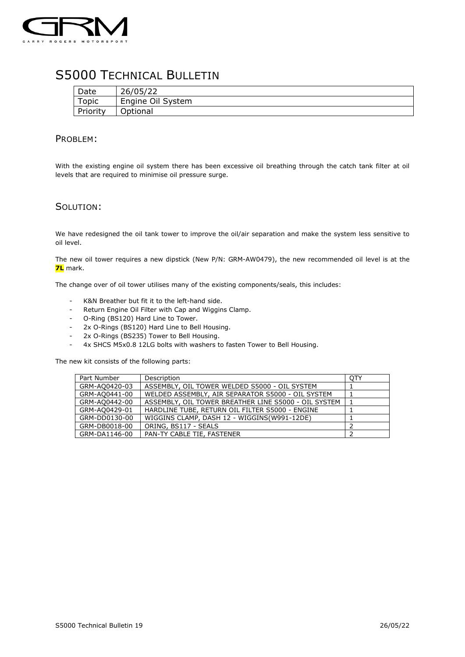

## S5000 TECHNICAL BULLETIN

| Date         | 26/05/22          |
|--------------|-------------------|
| <b>Topic</b> | Engine Oil System |
| Priority     | Optional          |

## PROBLEM:

With the existing engine oil system there has been excessive oil breathing through the catch tank filter at oil levels that are required to minimise oil pressure surge.

## SOLUTION:

We have redesigned the oil tank tower to improve the oil/air separation and make the system less sensitive to oil level.

The new oil tower requires a new dipstick (New P/N: GRM-AW0479), the new recommended oil level is at the **7L** mark.

The change over of oil tower utilises many of the existing components/seals, this includes:

- K&N Breather but fit it to the left-hand side.
- Return Engine Oil Filter with Cap and Wiggins Clamp.
- O-Ring (BS120) Hard Line to Tower.
- 2x O-Rings (BS120) Hard Line to Bell Housing.
- 2x O-Rings (BS235) Tower to Bell Housing.
- 4x SHCS M5x0.8 12LG bolts with washers to fasten Tower to Bell Housing.

The new kit consists of the following parts:

| Part Number   | Description                                          | OTY |
|---------------|------------------------------------------------------|-----|
| GRM-AQ0420-03 | ASSEMBLY, OIL TOWER WELDED S5000 - OIL SYSTEM        |     |
| GRM-AQ0441-00 | WELDED ASSEMBLY, AIR SEPARATOR S5000 - OIL SYSTEM    |     |
| GRM-AO0442-00 | ASSEMBLY, OIL TOWER BREATHER LINE S5000 - OIL SYSTEM |     |
| GRM-AO0429-01 | HARDLINE TUBE, RETURN OIL FILTER S5000 - ENGINE      |     |
| GRM-DD0130-00 | WIGGINS CLAMP, DASH 12 - WIGGINS(W991-12DE)          |     |
| GRM-DB0018-00 | ORING, BS117 - SEALS                                 | ∍   |
| GRM-DA1146-00 | PAN-TY CABLE TIE, FASTENER                           |     |